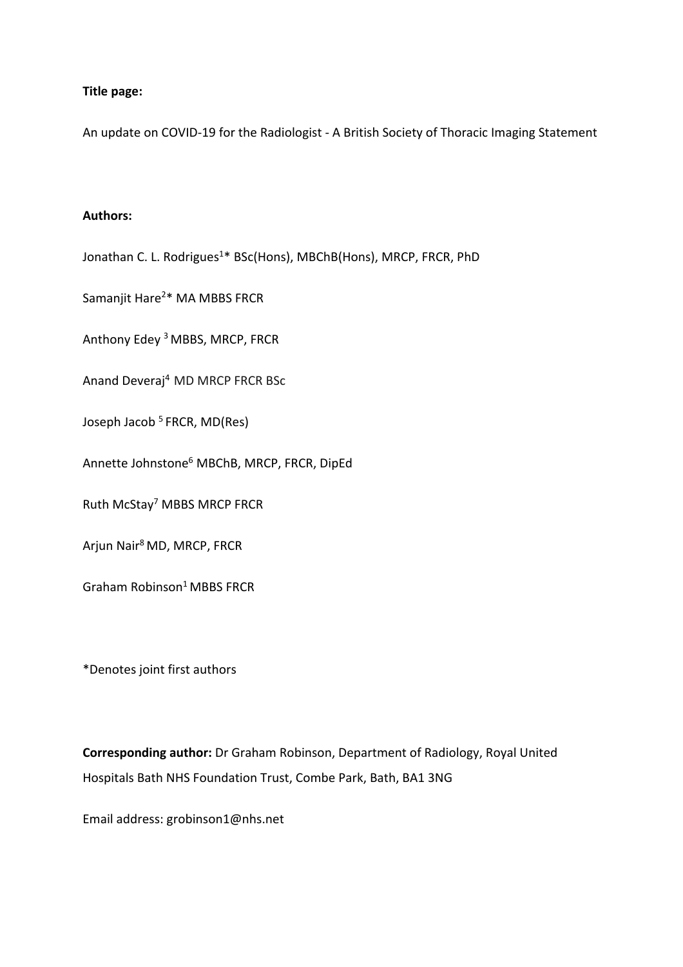### **Title page:**

An update on COVID-19 for the Radiologist - A British Society of Thoracic Imaging Statement

### **Authors:**

Jonathan C. L. Rodrigues<sup>1\*</sup> BSc(Hons), MBChB(Hons), MRCP, FRCR, PhD

Samanjit Hare<sup>2\*</sup> MA MBBS FRCR

Anthony Edey <sup>3</sup> MBBS, MRCP, FRCR

Anand Deveraj4 MD MRCP FRCR BSc

Joseph Jacob<sup>5</sup> FRCR, MD(Res)

Annette Johnstone6 MBChB, MRCP, FRCR, DipEd

Ruth McStay7 MBBS MRCP FRCR

Arjun Nair8 MD, MRCP, FRCR

Graham Robinson<sup>1</sup> MBBS FRCR

\*Denotes joint first authors

**Corresponding author:** Dr Graham Robinson, Department of Radiology, Royal United Hospitals Bath NHS Foundation Trust, Combe Park, Bath, BA1 3NG

Email address: grobinson1@nhs.net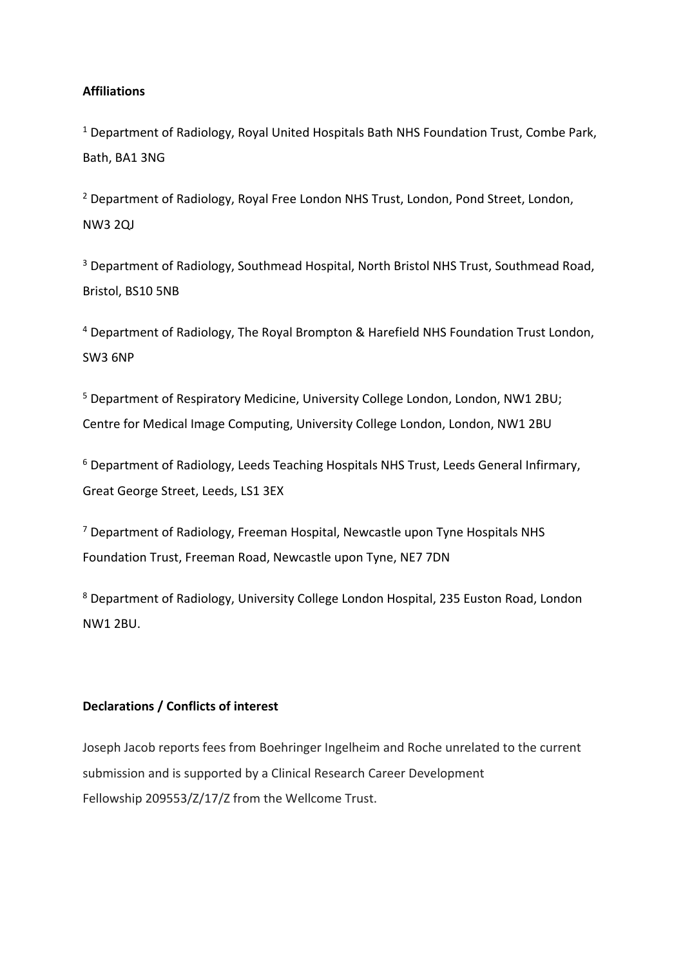## **Affiliations**

<sup>1</sup> Department of Radiology, Royal United Hospitals Bath NHS Foundation Trust, Combe Park, Bath, BA1 3NG

<sup>2</sup> Department of Radiology, Royal Free London NHS Trust, London, Pond Street, London, NW3 2QJ

<sup>3</sup> Department of Radiology, Southmead Hospital, North Bristol NHS Trust, Southmead Road, Bristol, BS10 5NB

<sup>4</sup> Department of Radiology, The Royal Brompton & Harefield NHS Foundation Trust London, SW3 6NP

<sup>5</sup> Department of Respiratory Medicine, University College London, London, NW1 2BU; Centre for Medical Image Computing, University College London, London, NW1 2BU

<sup>6</sup> Department of Radiology, Leeds Teaching Hospitals NHS Trust, Leeds General Infirmary, Great George Street, Leeds, LS1 3EX

<sup>7</sup> Department of Radiology, Freeman Hospital, Newcastle upon Tyne Hospitals NHS Foundation Trust, Freeman Road, Newcastle upon Tyne, NE7 7DN

<sup>8</sup> Department of Radiology, University College London Hospital, 235 Euston Road, London NW1 2BU.

### **Declarations / Conflicts of interest**

Joseph Jacob reports fees from Boehringer Ingelheim and Roche unrelated to the current submission and is supported by a Clinical Research Career Development Fellowship 209553/Z/17/Z from the Wellcome Trust.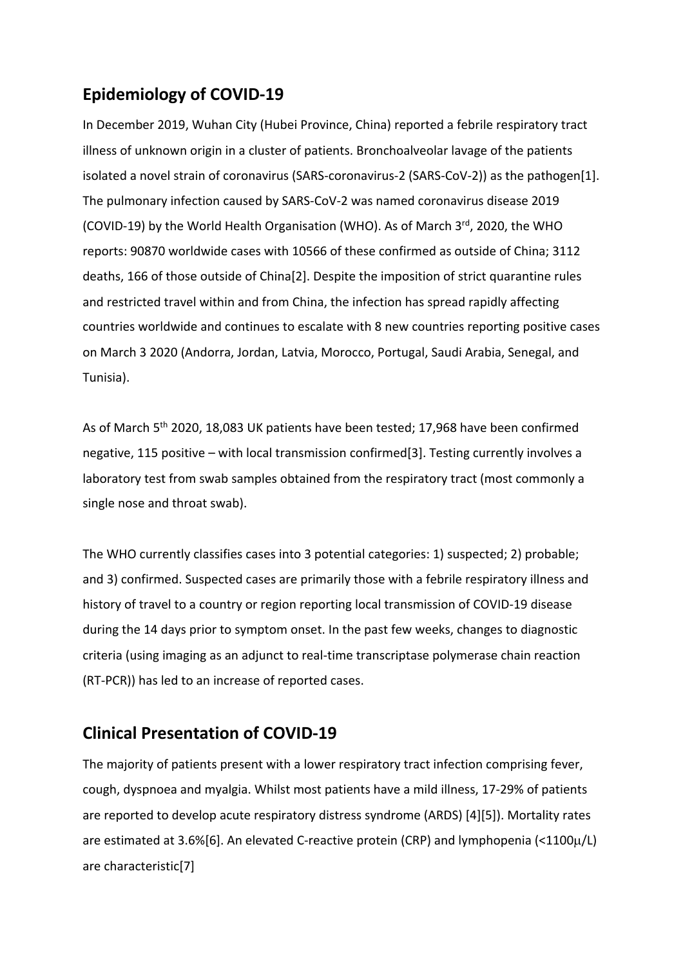# **Epidemiology of COVID-19**

In December 2019, Wuhan City (Hubei Province, China) reported a febrile respiratory tract illness of unknown origin in a cluster of patients. Bronchoalveolar lavage of the patients isolated a novel strain of coronavirus (SARS-coronavirus-2 (SARS-CoV-2)) as the pathogen[1]. The pulmonary infection caused by SARS-CoV-2 was named coronavirus disease 2019 (COVID-19) by the World Health Organisation (WHO). As of March 3rd, 2020, the WHO reports: 90870 worldwide cases with 10566 of these confirmed as outside of China; 3112 deaths, 166 of those outside of China[2]. Despite the imposition of strict quarantine rules and restricted travel within and from China, the infection has spread rapidly affecting countries worldwide and continues to escalate with 8 new countries reporting positive cases on March 3 2020 (Andorra, Jordan, Latvia, Morocco, Portugal, Saudi Arabia, Senegal, and Tunisia).

As of March 5th 2020, 18,083 UK patients have been tested; 17,968 have been confirmed negative, 115 positive – with local transmission confirmed[3]. Testing currently involves a laboratory test from swab samples obtained from the respiratory tract (most commonly a single nose and throat swab).

The WHO currently classifies cases into 3 potential categories: 1) suspected; 2) probable; and 3) confirmed. Suspected cases are primarily those with a febrile respiratory illness and history of travel to a country or region reporting local transmission of COVID-19 disease during the 14 days prior to symptom onset. In the past few weeks, changes to diagnostic criteria (using imaging as an adjunct to real-time transcriptase polymerase chain reaction (RT-PCR)) has led to an increase of reported cases.

# **Clinical Presentation of COVID-19**

The majority of patients present with a lower respiratory tract infection comprising fever, cough, dyspnoea and myalgia. Whilst most patients have a mild illness, 17-29% of patients are reported to develop acute respiratory distress syndrome (ARDS) [4][5]). Mortality rates are estimated at 3.6%[6]. An elevated C-reactive protein (CRP) and lymphopenia (<1100µ/L) are characteristic[7]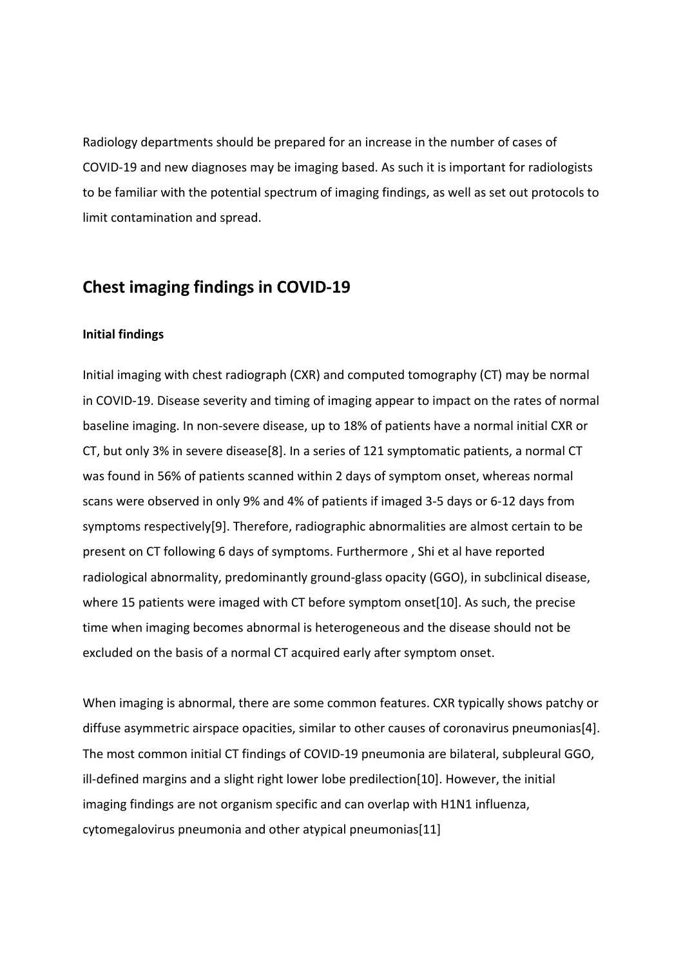Radiology departments should be prepared for an increase in the number of cases of COVID-19 and new diagnoses may be imaging based. As such it is important for radiologists to be familiar with the potential spectrum of imaging findings, as well as set out protocols to limit contamination and spread.

# **Chest imaging findings in COVID-19**

#### **Initial findings**

Initial imaging with chest radiograph (CXR) and computed tomography (CT) may be normal in COVID-19. Disease severity and timing of imaging appear to impact on the rates of normal baseline imaging. In non-severe disease, up to 18% of patients have a normal initial CXR or CT, but only 3% in severe disease[8]. In a series of 121 symptomatic patients, a normal CT was found in 56% of patients scanned within 2 days of symptom onset, whereas normal scans were observed in only 9% and 4% of patients if imaged 3-5 days or 6-12 days from symptoms respectively[9]. Therefore, radiographic abnormalities are almost certain to be present on CT following 6 days of symptoms. Furthermore , Shi et al have reported radiological abnormality, predominantly ground-glass opacity (GGO), in subclinical disease, where 15 patients were imaged with CT before symptom onset[10]. As such, the precise time when imaging becomes abnormal is heterogeneous and the disease should not be excluded on the basis of a normal CT acquired early after symptom onset.

When imaging is abnormal, there are some common features. CXR typically shows patchy or diffuse asymmetric airspace opacities, similar to other causes of coronavirus pneumonias[4]. The most common initial CT findings of COVID-19 pneumonia are bilateral, subpleural GGO, ill-defined margins and a slight right lower lobe predilection[10]. However, the initial imaging findings are not organism specific and can overlap with H1N1 influenza, cytomegalovirus pneumonia and other atypical pneumonias[11]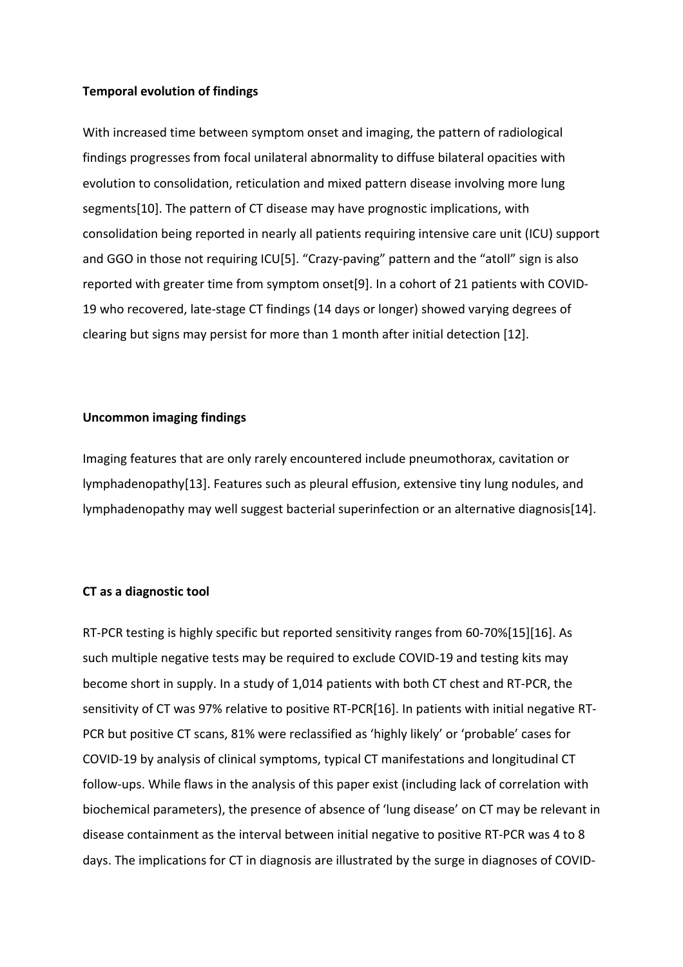#### **Temporal evolution of findings**

With increased time between symptom onset and imaging, the pattern of radiological findings progresses from focal unilateral abnormality to diffuse bilateral opacities with evolution to consolidation, reticulation and mixed pattern disease involving more lung segments[10]. The pattern of CT disease may have prognostic implications, with consolidation being reported in nearly all patients requiring intensive care unit (ICU) support and GGO in those not requiring ICU[5]. "Crazy-paving" pattern and the "atoll" sign is also reported with greater time from symptom onset[9]. In a cohort of 21 patients with COVID-19 who recovered, late-stage CT findings (14 days or longer) showed varying degrees of clearing but signs may persist for more than 1 month after initial detection [12].

#### **Uncommon imaging findings**

Imaging features that are only rarely encountered include pneumothorax, cavitation or lymphadenopathy[13]. Features such as pleural effusion, extensive tiny lung nodules, and lymphadenopathy may well suggest bacterial superinfection or an alternative diagnosis[14].

#### **CT as a diagnostic tool**

RT-PCR testing is highly specific but reported sensitivity ranges from 60-70%[15][16]. As such multiple negative tests may be required to exclude COVID-19 and testing kits may become short in supply. In a study of 1,014 patients with both CT chest and RT-PCR, the sensitivity of CT was 97% relative to positive RT-PCR[16]. In patients with initial negative RT-PCR but positive CT scans, 81% were reclassified as 'highly likely' or 'probable' cases for COVID-19 by analysis of clinical symptoms, typical CT manifestations and longitudinal CT follow-ups. While flaws in the analysis of this paper exist (including lack of correlation with biochemical parameters), the presence of absence of 'lung disease' on CT may be relevant in disease containment as the interval between initial negative to positive RT-PCR was 4 to 8 days. The implications for CT in diagnosis are illustrated by the surge in diagnoses of COVID-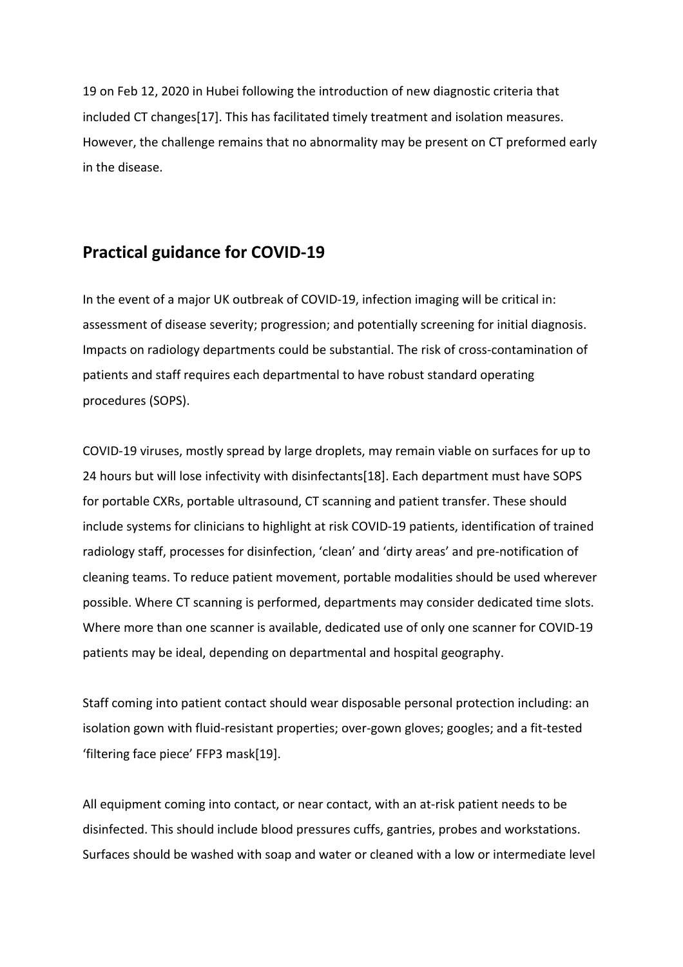19 on Feb 12, 2020 in Hubei following the introduction of new diagnostic criteria that included CT changes[17]. This has facilitated timely treatment and isolation measures. However, the challenge remains that no abnormality may be present on CT preformed early in the disease.

## **Practical guidance for COVID-19**

In the event of a major UK outbreak of COVID-19, infection imaging will be critical in: assessment of disease severity; progression; and potentially screening for initial diagnosis. Impacts on radiology departments could be substantial. The risk of cross-contamination of patients and staff requires each departmental to have robust standard operating procedures (SOPS).

COVID-19 viruses, mostly spread by large droplets, may remain viable on surfaces for up to 24 hours but will lose infectivity with disinfectants[18]. Each department must have SOPS for portable CXRs, portable ultrasound, CT scanning and patient transfer. These should include systems for clinicians to highlight at risk COVID-19 patients, identification of trained radiology staff, processes for disinfection, 'clean' and 'dirty areas' and pre-notification of cleaning teams. To reduce patient movement, portable modalities should be used wherever possible. Where CT scanning is performed, departments may consider dedicated time slots. Where more than one scanner is available, dedicated use of only one scanner for COVID-19 patients may be ideal, depending on departmental and hospital geography.

Staff coming into patient contact should wear disposable personal protection including: an isolation gown with fluid-resistant properties; over-gown gloves; googles; and a fit-tested 'filtering face piece' FFP3 mask[19].

All equipment coming into contact, or near contact, with an at-risk patient needs to be disinfected. This should include blood pressures cuffs, gantries, probes and workstations. Surfaces should be washed with soap and water or cleaned with a low or intermediate level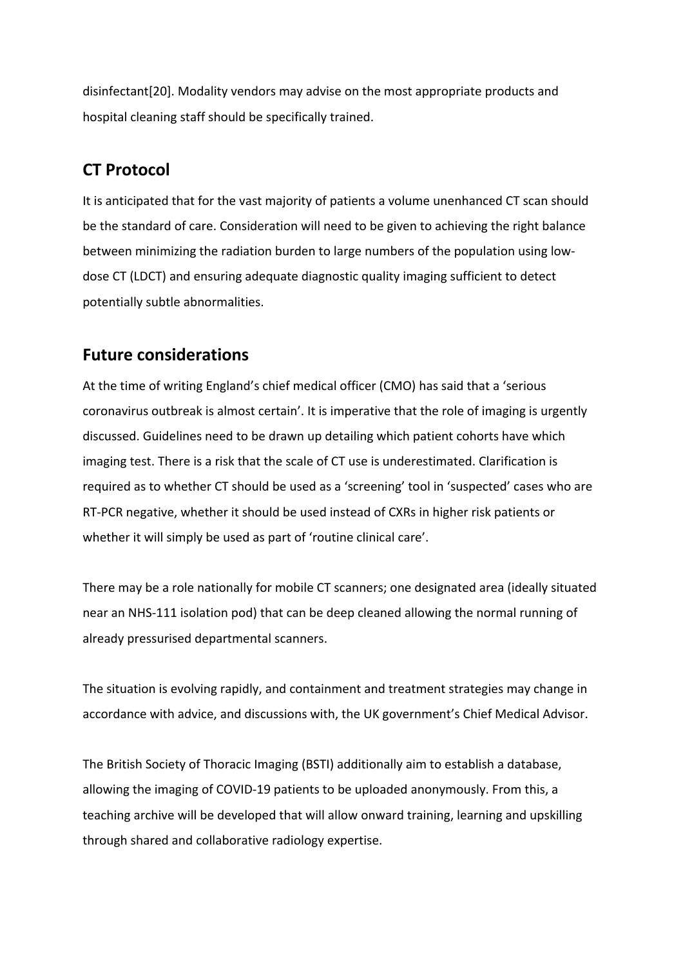disinfectant[20]. Modality vendors may advise on the most appropriate products and hospital cleaning staff should be specifically trained.

# **CT Protocol**

It is anticipated that for the vast majority of patients a volume unenhanced CT scan should be the standard of care. Consideration will need to be given to achieving the right balance between minimizing the radiation burden to large numbers of the population using lowdose CT (LDCT) and ensuring adequate diagnostic quality imaging sufficient to detect potentially subtle abnormalities.

# **Future considerations**

At the time of writing England's chief medical officer (CMO) has said that a 'serious coronavirus outbreak is almost certain'. It is imperative that the role of imaging is urgently discussed. Guidelines need to be drawn up detailing which patient cohorts have which imaging test. There is a risk that the scale of CT use is underestimated. Clarification is required as to whether CT should be used as a 'screening' tool in 'suspected' cases who are RT-PCR negative, whether it should be used instead of CXRs in higher risk patients or whether it will simply be used as part of 'routine clinical care'.

There may be a role nationally for mobile CT scanners; one designated area (ideally situated near an NHS-111 isolation pod) that can be deep cleaned allowing the normal running of already pressurised departmental scanners.

The situation is evolving rapidly, and containment and treatment strategies may change in accordance with advice, and discussions with, the UK government's Chief Medical Advisor.

The British Society of Thoracic Imaging (BSTI) additionally aim to establish a database, allowing the imaging of COVID-19 patients to be uploaded anonymously. From this, a teaching archive will be developed that will allow onward training, learning and upskilling through shared and collaborative radiology expertise.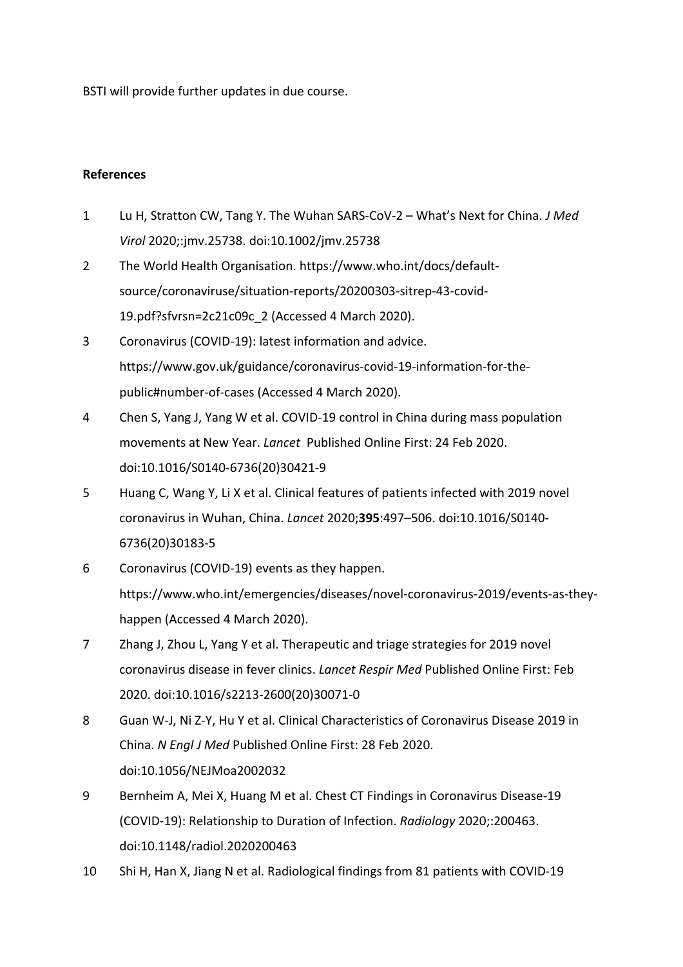BSTI will provide further updates in due course.

## **References**

- 1 Lu H, Stratton CW, Tang Y. The Wuhan SARS-CoV-2 What's Next for China. *J Med Virol* 2020;:jmv.25738. doi:10.1002/jmv.25738
- 2 The World Health Organisation. https://www.who.int/docs/defaultsource/coronaviruse/situation-reports/20200303-sitrep-43-covid-19.pdf?sfvrsn=2c21c09c\_2 (Accessed 4 March 2020).
- 3 Coronavirus (COVID-19): latest information and advice. https://www.gov.uk/guidance/coronavirus-covid-19-information-for-thepublic#number-of-cases (Accessed 4 March 2020).
- 4 Chen S, Yang J, Yang W et al. COVID-19 control in China during mass population movements at New Year. *Lancet* Published Online First: 24 Feb 2020. doi:10.1016/S0140-6736(20)30421-9
- 5 Huang C, Wang Y, Li X et al. Clinical features of patients infected with 2019 novel coronavirus in Wuhan, China. *Lancet* 2020;**395**:497–506. doi:10.1016/S0140- 6736(20)30183-5
- 6 Coronavirus (COVID-19) events as they happen. https://www.who.int/emergencies/diseases/novel-coronavirus-2019/events-as-theyhappen (Accessed 4 March 2020).
- 7 Zhang J, Zhou L, Yang Y et al. Therapeutic and triage strategies for 2019 novel coronavirus disease in fever clinics. *Lancet Respir Med* Published Online First: Feb 2020. doi:10.1016/s2213-2600(20)30071-0
- 8 Guan W-J, Ni Z-Y, Hu Y et al. Clinical Characteristics of Coronavirus Disease 2019 in China. *N Engl J Med* Published Online First: 28 Feb 2020. doi:10.1056/NEJMoa2002032
- 9 Bernheim A, Mei X, Huang M et al. Chest CT Findings in Coronavirus Disease-19 (COVID-19): Relationship to Duration of Infection. *Radiology* 2020;:200463. doi:10.1148/radiol.2020200463
- 10 Shi H, Han X, Jiang N et al. Radiological findings from 81 patients with COVID-19